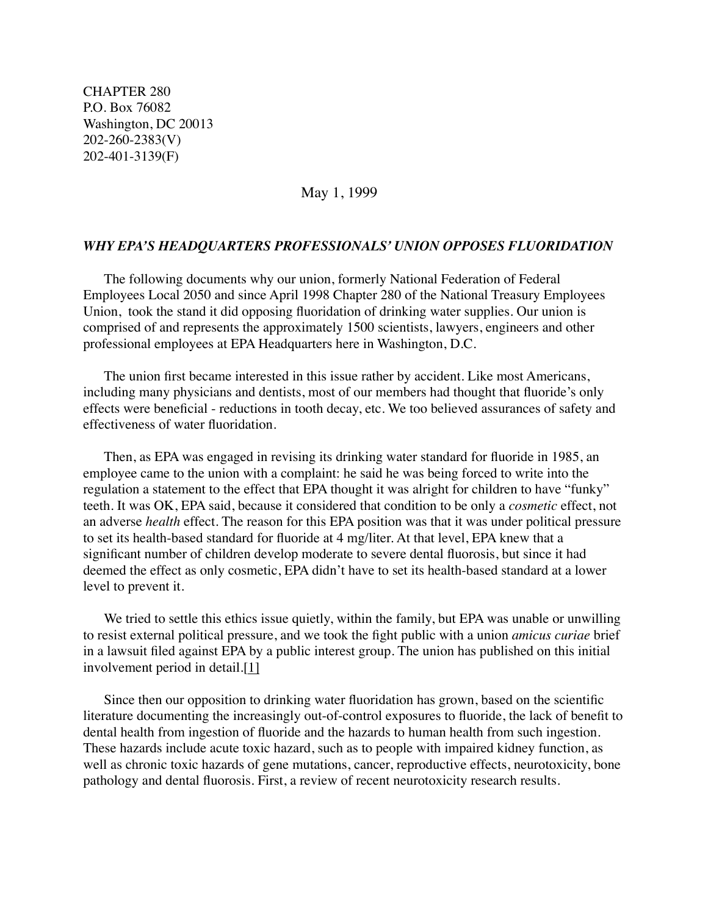CHAPTER 280 P.O. Box 76082 Washington, DC 20013 202-260-2383(V) 202-401-3139(F)

## May 1, 1999

## *WHY EPA'S HEADQUARTERS PROFESSIONALS' UNION OPPOSES FLUORIDATION*

The following documents why our union, formerly National Federation of Federal Employees Local 2050 and since April 1998 Chapter 280 of the National Treasury Employees Union, took the stand it did opposing fluoridation of drinking water supplies. Our union is comprised of and represents the approximately 1500 scientists, lawyers, engineers and other professional employees at EPA Headquarters here in Washington, D.C.

The union first became interested in this issue rather by accident. Like most Americans, including many physicians and dentists, most of our members had thought that fluoride's only effects were beneficial - reductions in tooth decay, etc. We too believed assurances of safety and effectiveness of water fluoridation.

Then, as EPA was engaged in revising its drinking water standard for fluoride in 1985, an employee came to the union with a complaint: he said he was being forced to write into the regulation a statement to the effect that EPA thought it was alright for children to have "funky" teeth. It was OK, EPA said, because it considered that condition to be only a *cosmetic* effect, not an adverse *health* effect. The reason for this EPA position was that it was under political pressure to set its health-based standard for fluoride at 4 mg/liter. At that level, EPA knew that a significant number of children develop moderate to severe dental fluorosis, but since it had deemed the effect as only cosmetic, EPA didn't have to set its health-based standard at a lower level to prevent it.

We tried to settle this ethics issue quietly, within the family, but EPA was unable or unwilling to resist external political pressure, and we took the fight public with a union *amicus curiae* brief in a lawsuit filed against EPA by a public interest group. The union has published on this initial involvement period in detail.[1]

Since then our opposition to drinking water fluoridation has grown, based on the scientific literature documenting the increasingly out-of-control exposures to fluoride, the lack of benefit to dental health from ingestion of fluoride and the hazards to human health from such ingestion. These hazards include acute toxic hazard, such as to people with impaired kidney function, as well as chronic toxic hazards of gene mutations, cancer, reproductive effects, neurotoxicity, bone pathology and dental fluorosis. First, a review of recent neurotoxicity research results.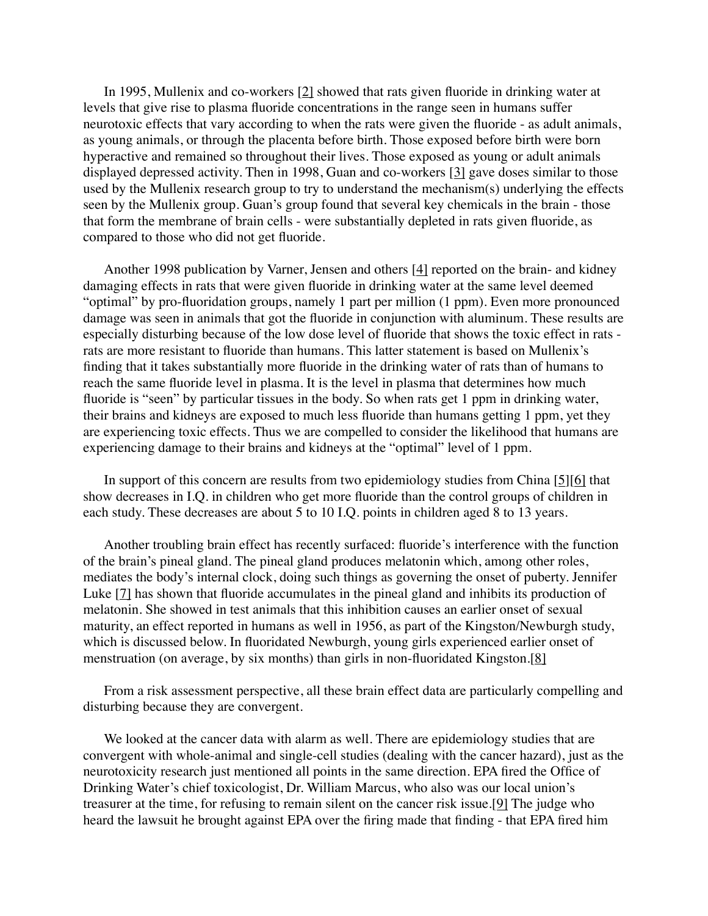In 1995, Mullenix and co-workers [2] showed that rats given fluoride in drinking water at levels that give rise to plasma fluoride concentrations in the range seen in humans suffer neurotoxic effects that vary according to when the rats were given the fluoride - as adult animals, as young animals, or through the placenta before birth. Those exposed before birth were born hyperactive and remained so throughout their lives. Those exposed as young or adult animals displayed depressed activity. Then in 1998, Guan and co-workers [3] gave doses similar to those used by the Mullenix research group to try to understand the mechanism(s) underlying the effects seen by the Mullenix group. Guan's group found that several key chemicals in the brain - those that form the membrane of brain cells - were substantially depleted in rats given fluoride, as compared to those who did not get fluoride.

Another 1998 publication by Varner, Jensen and others [4] reported on the brain- and kidney damaging effects in rats that were given fluoride in drinking water at the same level deemed "optimal" by pro-fluoridation groups, namely 1 part per million (1 ppm). Even more pronounced damage was seen in animals that got the fluoride in conjunction with aluminum. These results are especially disturbing because of the low dose level of fluoride that shows the toxic effect in rats rats are more resistant to fluoride than humans. This latter statement is based on Mullenix's finding that it takes substantially more fluoride in the drinking water of rats than of humans to reach the same fluoride level in plasma. It is the level in plasma that determines how much fluoride is "seen" by particular tissues in the body. So when rats get 1 ppm in drinking water, their brains and kidneys are exposed to much less fluoride than humans getting 1 ppm, yet they are experiencing toxic effects. Thus we are compelled to consider the likelihood that humans are experiencing damage to their brains and kidneys at the "optimal" level of 1 ppm.

In support of this concern are results from two epidemiology studies from China [5][6] that show decreases in I.Q. in children who get more fluoride than the control groups of children in each study. These decreases are about 5 to 10 I.Q. points in children aged 8 to 13 years.

Another troubling brain effect has recently surfaced: fluoride's interference with the function of the brain's pineal gland. The pineal gland produces melatonin which, among other roles, mediates the body's internal clock, doing such things as governing the onset of puberty. Jennifer Luke [7] has shown that fluoride accumulates in the pineal gland and inhibits its production of melatonin. She showed in test animals that this inhibition causes an earlier onset of sexual maturity, an effect reported in humans as well in 1956, as part of the Kingston/Newburgh study, which is discussed below. In fluoridated Newburgh, young girls experienced earlier onset of menstruation (on average, by six months) than girls in non-fluoridated Kingston.[8]

From a risk assessment perspective, all these brain effect data are particularly compelling and disturbing because they are convergent.

We looked at the cancer data with alarm as well. There are epidemiology studies that are convergent with whole-animal and single-cell studies (dealing with the cancer hazard), just as the neurotoxicity research just mentioned all points in the same direction. EPA fired the Office of Drinking Water's chief toxicologist, Dr. William Marcus, who also was our local union's treasurer at the time, for refusing to remain silent on the cancer risk issue.[9] The judge who heard the lawsuit he brought against EPA over the firing made that finding - that EPA fired him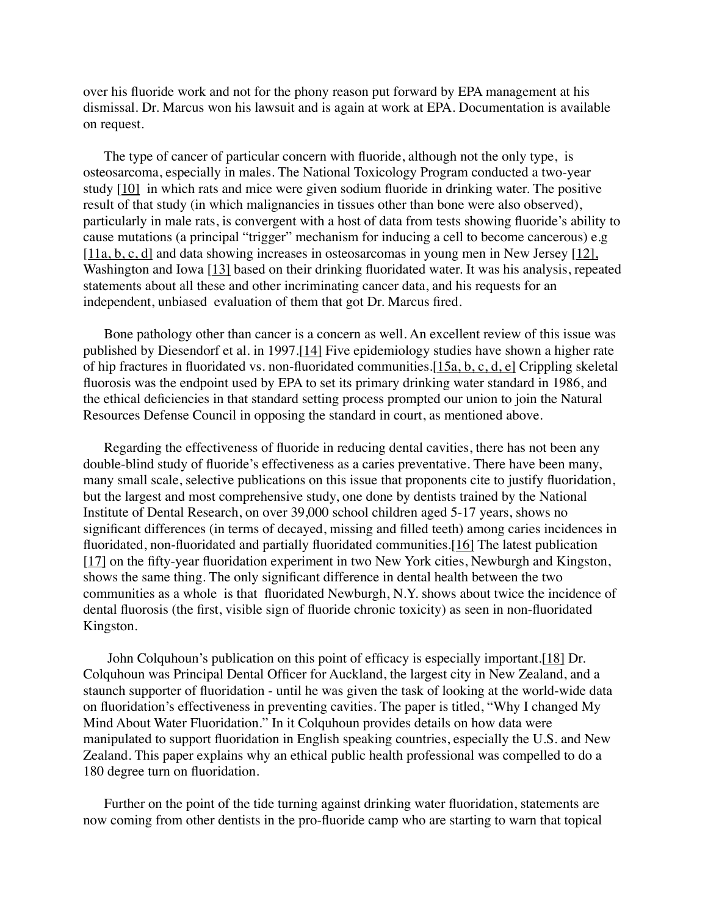over his fluoride work and not for the phony reason put forward by EPA management at his dismissal. Dr. Marcus won his lawsuit and is again at work at EPA. Documentation is available on request.

The type of cancer of particular concern with fluoride, although not the only type, is osteosarcoma, especially in males. The National Toxicology Program conducted a two-year study [10] in which rats and mice were given sodium fluoride in drinking water. The positive result of that study (in which malignancies in tissues other than bone were also observed), particularly in male rats, is convergent with a host of data from tests showing fluoride's ability to cause mutations (a principal "trigger" mechanism for inducing a cell to become cancerous) e.g [11a, b, c, d] and data showing increases in osteosarcomas in young men in New Jersey [12], Washington and Iowa [13] based on their drinking fluoridated water. It was his analysis, repeated statements about all these and other incriminating cancer data, and his requests for an independent, unbiased evaluation of them that got Dr. Marcus fired.

Bone pathology other than cancer is a concern as well. An excellent review of this issue was published by Diesendorf et al. in 1997.[14] Five epidemiology studies have shown a higher rate of hip fractures in fluoridated vs. non-fluoridated communities.[15a, b, c, d, e] Crippling skeletal fluorosis was the endpoint used by EPA to set its primary drinking water standard in 1986, and the ethical deficiencies in that standard setting process prompted our union to join the Natural Resources Defense Council in opposing the standard in court, as mentioned above.

Regarding the effectiveness of fluoride in reducing dental cavities, there has not been any double-blind study of fluoride's effectiveness as a caries preventative. There have been many, many small scale, selective publications on this issue that proponents cite to justify fluoridation, but the largest and most comprehensive study, one done by dentists trained by the National Institute of Dental Research, on over 39,000 school children aged 5-17 years, shows no significant differences (in terms of decayed, missing and filled teeth) among caries incidences in fluoridated, non-fluoridated and partially fluoridated communities.<sup>[16]</sup> The latest publication [17] on the fifty-year fluoridation experiment in two New York cities, Newburgh and Kingston, shows the same thing. The only significant difference in dental health between the two communities as a whole is that fluoridated Newburgh, N.Y. shows about twice the incidence of dental fluorosis (the first, visible sign of fluoride chronic toxicity) as seen in non-fluoridated Kingston.

John Colquhoun's publication on this point of efficacy is especially important. [18] Dr. Colquhoun was Principal Dental Officer for Auckland, the largest city in New Zealand, and a staunch supporter of fluoridation - until he was given the task of looking at the world-wide data on fluoridation's effectiveness in preventing cavities. The paper is titled, "Why I changed My Mind About Water Fluoridation." In it Colquhoun provides details on how data were manipulated to support fluoridation in English speaking countries, especially the U.S. and New Zealand. This paper explains why an ethical public health professional was compelled to do a 180 degree turn on fluoridation.

Further on the point of the tide turning against drinking water fluoridation, statements are now coming from other dentists in the pro-fluoride camp who are starting to warn that topical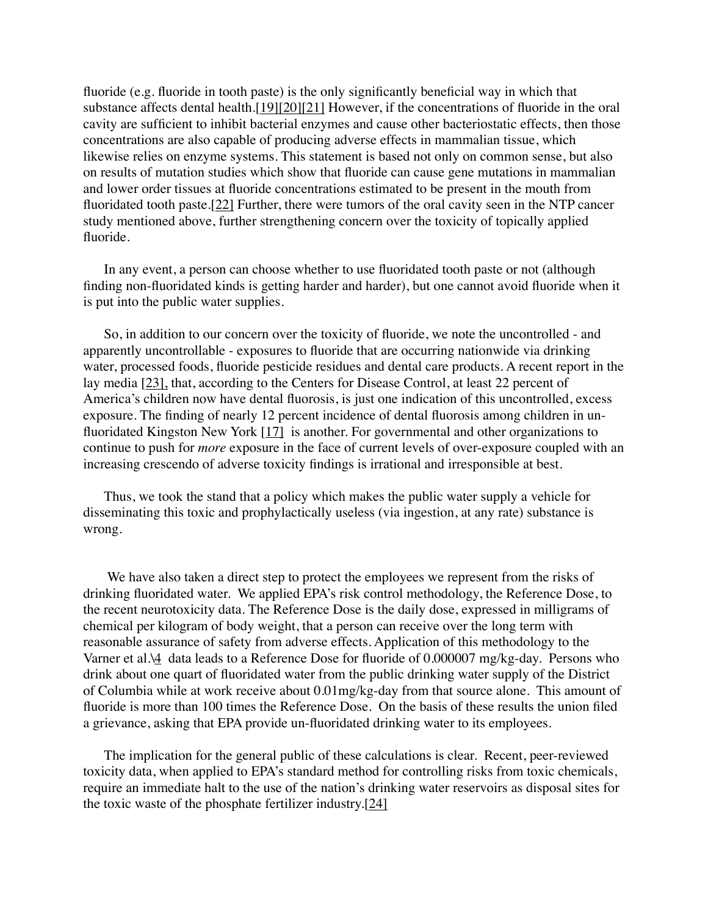fluoride (e.g. fluoride in tooth paste) is the only significantly beneficial way in which that substance affects dental health.[19][20][21] However, if the concentrations of fluoride in the oral cavity are sufficient to inhibit bacterial enzymes and cause other bacteriostatic effects, then those concentrations are also capable of producing adverse effects in mammalian tissue, which likewise relies on enzyme systems. This statement is based not only on common sense, but also on results of mutation studies which show that fluoride can cause gene mutations in mammalian and lower order tissues at fluoride concentrations estimated to be present in the mouth from fluoridated tooth paste.[22] Further, there were tumors of the oral cavity seen in the NTP cancer study mentioned above, further strengthening concern over the toxicity of topically applied fluoride.

In any event, a person can choose whether to use fluoridated tooth paste or not (although finding non-fluoridated kinds is getting harder and harder), but one cannot avoid fluoride when it is put into the public water supplies.

So, in addition to our concern over the toxicity of fluoride, we note the uncontrolled - and apparently uncontrollable - exposures to fluoride that are occurring nationwide via drinking water, processed foods, fluoride pesticide residues and dental care products. A recent report in the lay media [23], that, according to the Centers for Disease Control, at least 22 percent of America's children now have dental fluorosis, is just one indication of this uncontrolled, excess exposure. The finding of nearly 12 percent incidence of dental fluorosis among children in unfluoridated Kingston New York [17] is another. For governmental and other organizations to continue to push for *more* exposure in the face of current levels of over-exposure coupled with an increasing crescendo of adverse toxicity findings is irrational and irresponsible at best.

Thus, we took the stand that a policy which makes the public water supply a vehicle for disseminating this toxic and prophylactically useless (via ingestion, at any rate) substance is wrong.

 We have also taken a direct step to protect the employees we represent from the risks of drinking fluoridated water. We applied EPA's risk control methodology, the Reference Dose, to the recent neurotoxicity data. The Reference Dose is the daily dose, expressed in milligrams of chemical per kilogram of body weight, that a person can receive over the long term with reasonable assurance of safety from adverse effects. Application of this methodology to the Varner et al.\4 data leads to a Reference Dose for fluoride of 0.000007 mg/kg-day. Persons who drink about one quart of fluoridated water from the public drinking water supply of the District of Columbia while at work receive about 0.01mg/kg-day from that source alone. This amount of fluoride is more than 100 times the Reference Dose. On the basis of these results the union filed a grievance, asking that EPA provide un-fluoridated drinking water to its employees.

The implication for the general public of these calculations is clear. Recent, peer-reviewed toxicity data, when applied to EPA's standard method for controlling risks from toxic chemicals, require an immediate halt to the use of the nation's drinking water reservoirs as disposal sites for the toxic waste of the phosphate fertilizer industry.[24]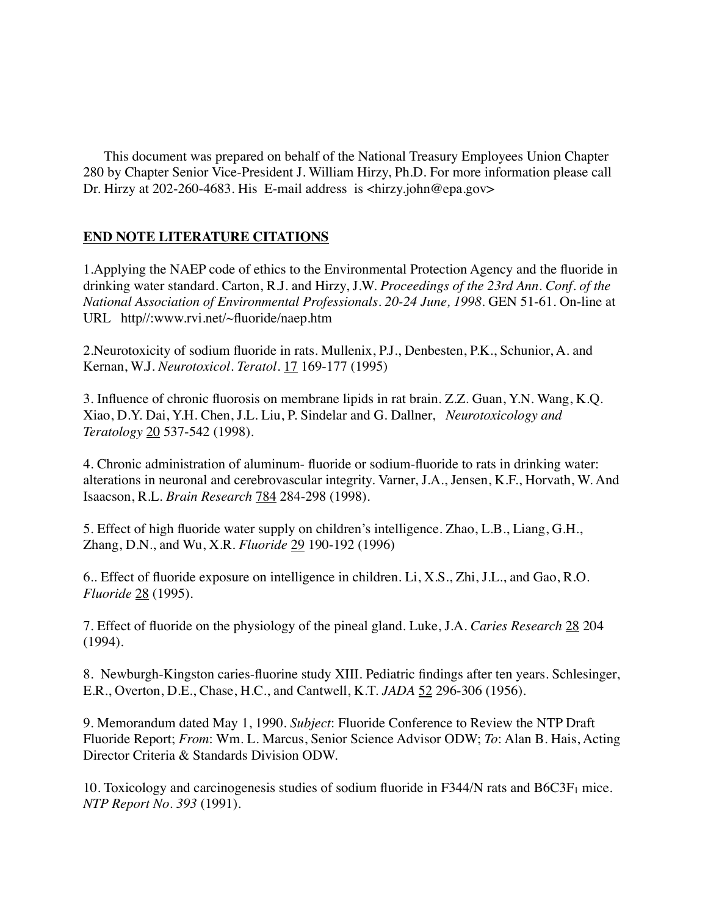This document was prepared on behalf of the National Treasury Employees Union Chapter 280 by Chapter Senior Vice-President J. William Hirzy, Ph.D. For more information please call Dr. Hirzy at 202-260-4683. His E-mail address is <hirzy.john@epa.gov>

## **END NOTE LITERATURE CITATIONS**

1.Applying the NAEP code of ethics to the Environmental Protection Agency and the fluoride in drinking water standard. Carton, R.J. and Hirzy, J.W. *Proceedings of the 23rd Ann. Conf. of the National Association of Environmental Professionals. 20-24 June, 1998. GEN 51-61. On-line at* URL http//:www.rvi.net/~fluoride/naep.htm

2.Neurotoxicity of sodium fluoride in rats. Mullenix, P.J., Denbesten, P.K., Schunior, A. and Kernan, W.J. *Neurotoxicol. Teratol*. 17 169-177 (1995)

3. Influence of chronic fluorosis on membrane lipids in rat brain. Z.Z. Guan, Y.N. Wang, K.Q. Xiao, D.Y. Dai, Y.H. Chen, J.L. Liu, P. Sindelar and G. Dallner, *Neurotoxicology and Teratology* 20 537-542 (1998).

4. Chronic administration of aluminum- fluoride or sodium-fluoride to rats in drinking water: alterations in neuronal and cerebrovascular integrity. Varner, J.A., Jensen, K.F., Horvath, W. And Isaacson, R.L. *Brain Research* 784 284-298 (1998).

5. Effect of high fluoride water supply on children's intelligence. Zhao, L.B., Liang, G.H., Zhang, D.N., and Wu, X.R. *Fluoride* 29 190-192 (1996)

6.. Effect of fluoride exposure on intelligence in children. Li, X.S., Zhi, J.L., and Gao, R.O. *Fluoride* 28 (1995).

7. Effect of fluoride on the physiology of the pineal gland. Luke, J.A. *Caries Research* 28 204 (1994).

8. Newburgh-Kingston caries-fluorine study XIII. Pediatric findings after ten years. Schlesinger, E.R., Overton, D.E., Chase, H.C., and Cantwell, K.T. *JADA* 52 296-306 (1956).

9. Memorandum dated May 1, 1990. *Subject*: Fluoride Conference to Review the NTP Draft Fluoride Report; *From*: Wm. L. Marcus, Senior Science Advisor ODW; *To*: Alan B. Hais, Acting Director Criteria & Standards Division ODW.

10. Toxicology and carcinogenesis studies of sodium fluoride in F344/N rats and B6C3F1 mice. *NTP Report No. 393* (1991).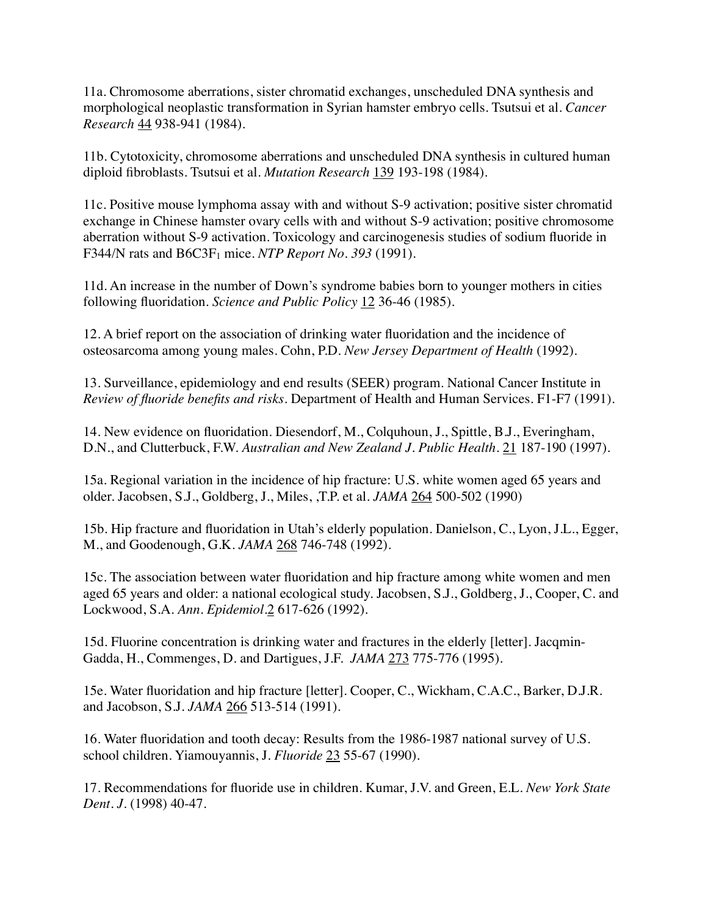11a. Chromosome aberrations, sister chromatid exchanges, unscheduled DNA synthesis and morphological neoplastic transformation in Syrian hamster embryo cells. Tsutsui et al. *Cancer Research* 44 938-941 (1984).

11b. Cytotoxicity, chromosome aberrations and unscheduled DNA synthesis in cultured human diploid fibroblasts. Tsutsui et al. *Mutation Research* 139 193-198 (1984).

11c. Positive mouse lymphoma assay with and without S-9 activation; positive sister chromatid exchange in Chinese hamster ovary cells with and without S-9 activation; positive chromosome aberration without S-9 activation. Toxicology and carcinogenesis studies of sodium fluoride in F344/N rats and B6C3F1 mice. *NTP Report No. 393* (1991).

11d. An increase in the number of Down's syndrome babies born to younger mothers in cities following fluoridation. *Science and Public Policy* 12 36-46 (1985).

12. A brief report on the association of drinking water fluoridation and the incidence of osteosarcoma among young males. Cohn, P.D. *New Jersey Department of Health* (1992).

13. Surveillance, epidemiology and end results (SEER) program. National Cancer Institute in *Review of fluoride benefits and risks*. Department of Health and Human Services. F1-F7 (1991).

14. New evidence on fluoridation. Diesendorf, M., Colquhoun, J., Spittle, B.J., Everingham, D.N., and Clutterbuck, F.W. *Australian and New Zealand J. Public Health.* 21 187-190 (1997).

15a. Regional variation in the incidence of hip fracture: U.S. white women aged 65 years and older. Jacobsen, S.J., Goldberg, J., Miles, ,T.P. et al. *JAMA* 264 500-502 (1990)

15b. Hip fracture and fluoridation in Utah's elderly population. Danielson, C., Lyon, J.L., Egger, M., and Goodenough, G.K. *JAMA* 268 746-748 (1992).

15c. The association between water fluoridation and hip fracture among white women and men aged 65 years and older: a national ecological study. Jacobsen, S.J., Goldberg, J., Cooper, C. and Lockwood, S.A. *Ann. Epidemiol.*2 617-626 (1992).

15d. Fluorine concentration is drinking water and fractures in the elderly [letter]. Jacqmin-Gadda, H., Commenges, D. and Dartigues, J.F. *JAMA* 273 775-776 (1995).

15e. Water fluoridation and hip fracture [letter]. Cooper, C., Wickham, C.A.C., Barker, D.J.R. and Jacobson, S.J. *JAMA* 266 513-514 (1991).

16. Water fluoridation and tooth decay: Results from the 1986-1987 national survey of U.S. school children. Yiamouyannis, J. *Fluoride* 23 55-67 (1990).

17. Recommendations for fluoride use in children. Kumar, J.V. and Green, E.L. *New York State Dent. J.* (1998) 40-47.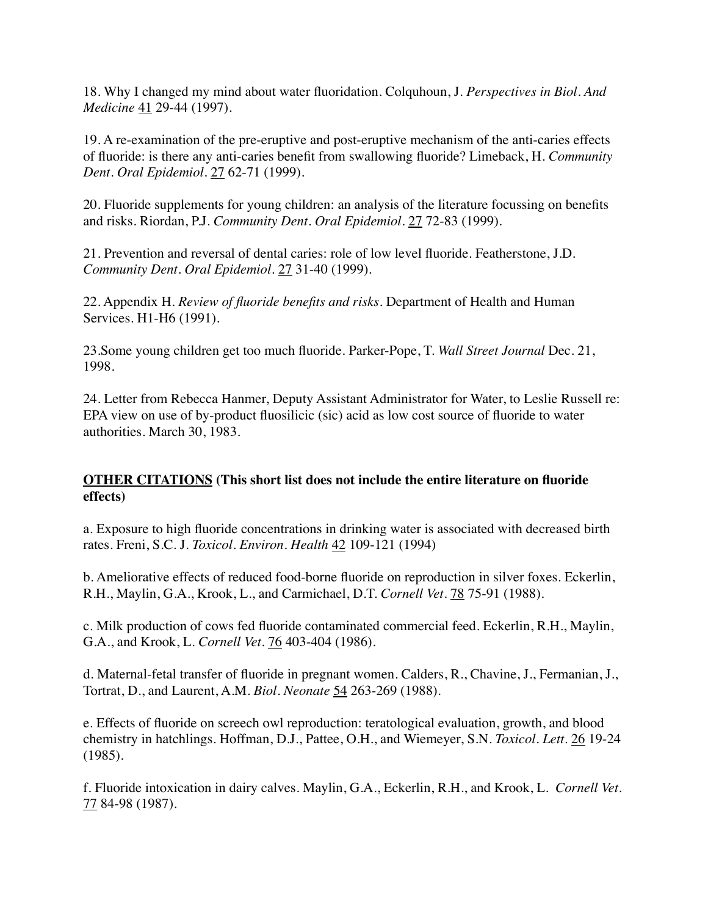18. Why I changed my mind about water fluoridation. Colquhoun, J. *Perspectives in Biol. And Medicine* 41 29-44 (1997).

19. A re-examination of the pre-eruptive and post-eruptive mechanism of the anti-caries effects of fluoride: is there any anti-caries benefit from swallowing fluoride? Limeback, H. *Community Dent. Oral Epidemiol.* 27 62-71 (1999).

20. Fluoride supplements for young children: an analysis of the literature focussing on benefits and risks. Riordan, P.J. *Community Dent. Oral Epidemiol.* 27 72-83 (1999).

21. Prevention and reversal of dental caries: role of low level fluoride. Featherstone, J.D. *Community Dent. Oral Epidemiol.* 27 31-40 (1999).

22. Appendix H. *Review of fluoride benefits and risks*. Department of Health and Human Services. H1-H6 (1991).

23.Some young children get too much fluoride. Parker-Pope, T. *Wall Street Journal* Dec. 21, 1998.

24. Letter from Rebecca Hanmer, Deputy Assistant Administrator for Water, to Leslie Russell re: EPA view on use of by-product fluosilicic (sic) acid as low cost source of fluoride to water authorities. March 30, 1983.

## **OTHER CITATIONS (This short list does not include the entire literature on fluoride effects)**

a. Exposure to high fluoride concentrations in drinking water is associated with decreased birth rates. Freni, S.C. J. *Toxicol. Environ. Health* 42 109-121 (1994)

b. Ameliorative effects of reduced food-borne fluoride on reproduction in silver foxes. Eckerlin, R.H., Maylin, G.A., Krook, L., and Carmichael, D.T. *Cornell Vet*. 78 75-91 (1988).

c. Milk production of cows fed fluoride contaminated commercial feed. Eckerlin, R.H., Maylin, G.A., and Krook, L. *Cornell Vet*. 76 403-404 (1986).

d. Maternal-fetal transfer of fluoride in pregnant women. Calders, R., Chavine, J., Fermanian, J., Tortrat, D., and Laurent, A.M. *Biol. Neonate* 54 263-269 (1988).

e. Effects of fluoride on screech owl reproduction: teratological evaluation, growth, and blood chemistry in hatchlings. Hoffman, D.J., Pattee, O.H., and Wiemeyer, S.N. *Toxicol. Lett.* 26 19-24 (1985).

f. Fluoride intoxication in dairy calves. Maylin, G.A., Eckerlin, R.H., and Krook, L. *Cornell Vet*. 77 84-98 (1987).